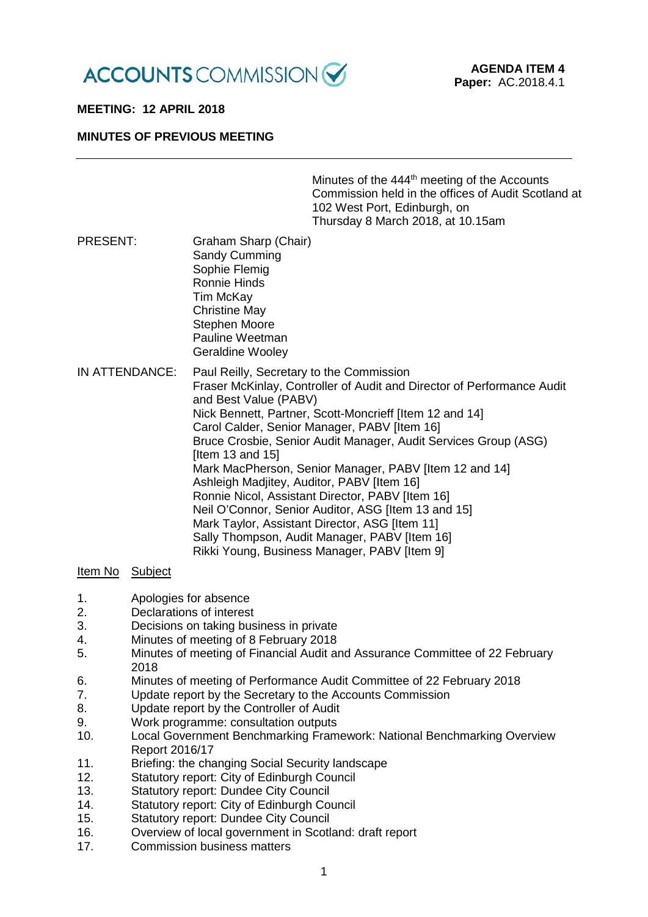

## **MEETING: 12 APRIL 2018**

## **MINUTES OF PREVIOUS MEETING**

|                 |                                                                                                                                                                                                                                                                                                                                                                                                                                                                                                                                                                                                                                                                                                                     | Minutes of the 444 <sup>th</sup> meeting of the Accounts<br>Commission held in the offices of Audit Scotland at<br>102 West Port, Edinburgh, on<br>Thursday 8 March 2018, at 10.15am |
|-----------------|---------------------------------------------------------------------------------------------------------------------------------------------------------------------------------------------------------------------------------------------------------------------------------------------------------------------------------------------------------------------------------------------------------------------------------------------------------------------------------------------------------------------------------------------------------------------------------------------------------------------------------------------------------------------------------------------------------------------|--------------------------------------------------------------------------------------------------------------------------------------------------------------------------------------|
| <b>PRESENT:</b> | Graham Sharp (Chair)<br>Sandy Cumming<br>Sophie Flemig<br><b>Ronnie Hinds</b><br>Tim McKay<br><b>Christine May</b><br><b>Stephen Moore</b><br>Pauline Weetman<br>Geraldine Wooley                                                                                                                                                                                                                                                                                                                                                                                                                                                                                                                                   |                                                                                                                                                                                      |
| IN ATTENDANCE:  | Paul Reilly, Secretary to the Commission<br>Fraser McKinlay, Controller of Audit and Director of Performance Audit<br>and Best Value (PABV)<br>Nick Bennett, Partner, Scott-Moncrieff [Item 12 and 14]<br>Carol Calder, Senior Manager, PABV [Item 16]<br>Bruce Crosbie, Senior Audit Manager, Audit Services Group (ASG)<br>[Item 13 and 15]<br>Mark MacPherson, Senior Manager, PABV [Item 12 and 14]<br>Ashleigh Madjitey, Auditor, PABV [Item 16]<br>Ronnie Nicol, Assistant Director, PABV [Item 16]<br>Neil O'Connor, Senior Auditor, ASG [Item 13 and 15]<br>Mark Taylor, Assistant Director, ASG [Item 11]<br>Sally Thompson, Audit Manager, PABV [Item 16]<br>Rikki Young, Business Manager, PABV [Item 9] |                                                                                                                                                                                      |

## Item No Subject

- 1. Apologies for absence
- 2. Declarations of interest
- 3. Decisions on taking business in private<br>4 Minutes of meeting of 8 February 2018
- 4. Minutes of meeting of 8 February 2018<br>5. Minutes of meeting of Financial Audit are
- Minutes of meeting of Financial Audit and Assurance Committee of 22 February 2018
- 6. Minutes of meeting of Performance Audit Committee of 22 February 2018
- 7. Update report by the Secretary to the Accounts Commission
- 8. Update report by the Controller of Audit
- 9. Work programme: consultation outputs<br>10. Local Government Benchmarking Fram
- 10. Local Government Benchmarking Framework: National Benchmarking Overview Report 2016/17
- 11. Briefing: the changing Social Security landscape
- 12. Statutory report: City of Edinburgh Council
- 13. Statutory report: Dundee City Council
- 14. Statutory report: City of Edinburgh Council<br>15. Statutory report: Dundee City Council
- 15. Statutory report: Dundee City Council<br>16 Overview of local government in Scotl
- 16. Overview of local government in Scotland: draft report 17.
- Commission business matters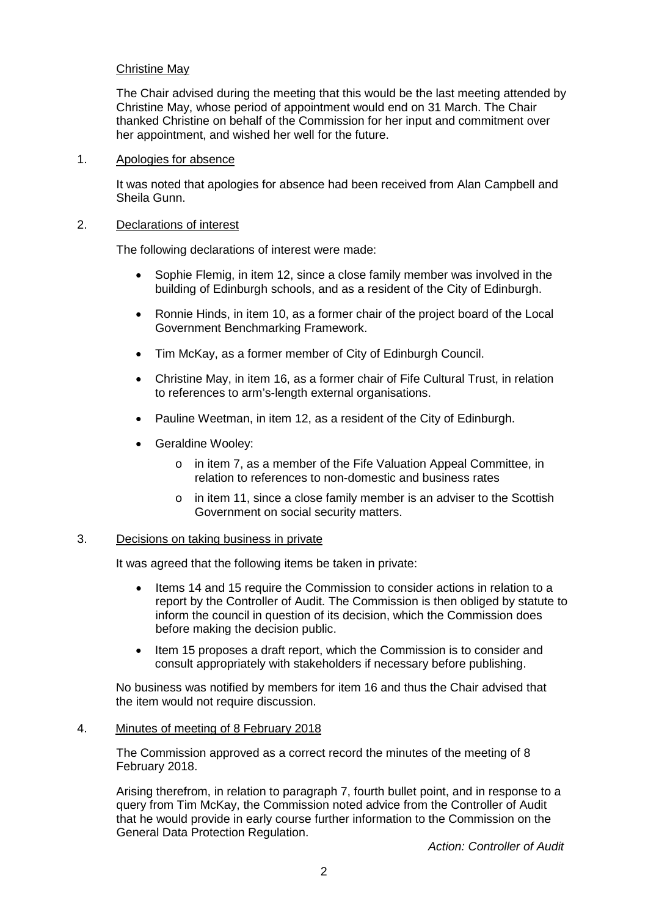# Christine May

The Chair advised during the meeting that this would be the last meeting attended by Christine May, whose period of appointment would end on 31 March. The Chair thanked Christine on behalf of the Commission for her input and commitment over her appointment, and wished her well for the future.

#### 1. Apologies for absence

It was noted that apologies for absence had been received from Alan Campbell and Sheila Gunn.

#### 2. Declarations of interest

The following declarations of interest were made:

- Sophie Flemig, in item 12, since a close family member was involved in the building of Edinburgh schools, and as a resident of the City of Edinburgh.
- Ronnie Hinds, in item 10, as a former chair of the project board of the Local Government Benchmarking Framework.
- Tim McKay, as a former member of City of Edinburgh Council.
- Christine May, in item 16, as a former chair of Fife Cultural Trust, in relation to references to arm's-length external organisations.
- Pauline Weetman, in item 12, as a resident of the City of Edinburgh.
- Geraldine Wooley:
	- o in item 7, as a member of the Fife Valuation Appeal Committee, in relation to references to non-domestic and business rates
	- $\circ$  in item 11, since a close family member is an adviser to the Scottish Government on social security matters.

#### 3. Decisions on taking business in private

It was agreed that the following items be taken in private:

- Items 14 and 15 require the Commission to consider actions in relation to a report by the Controller of Audit. The Commission is then obliged by statute to inform the council in question of its decision, which the Commission does before making the decision public.
- Item 15 proposes a draft report, which the Commission is to consider and consult appropriately with stakeholders if necessary before publishing.

No business was notified by members for item 16 and thus the Chair advised that the item would not require discussion.

4. Minutes of meeting of 8 February 2018

The Commission approved as a correct record the minutes of the meeting of 8 February 2018.

Arising therefrom, in relation to paragraph 7, fourth bullet point, and in response to a query from Tim McKay, the Commission noted advice from the Controller of Audit that he would provide in early course further information to the Commission on the General Data Protection Regulation.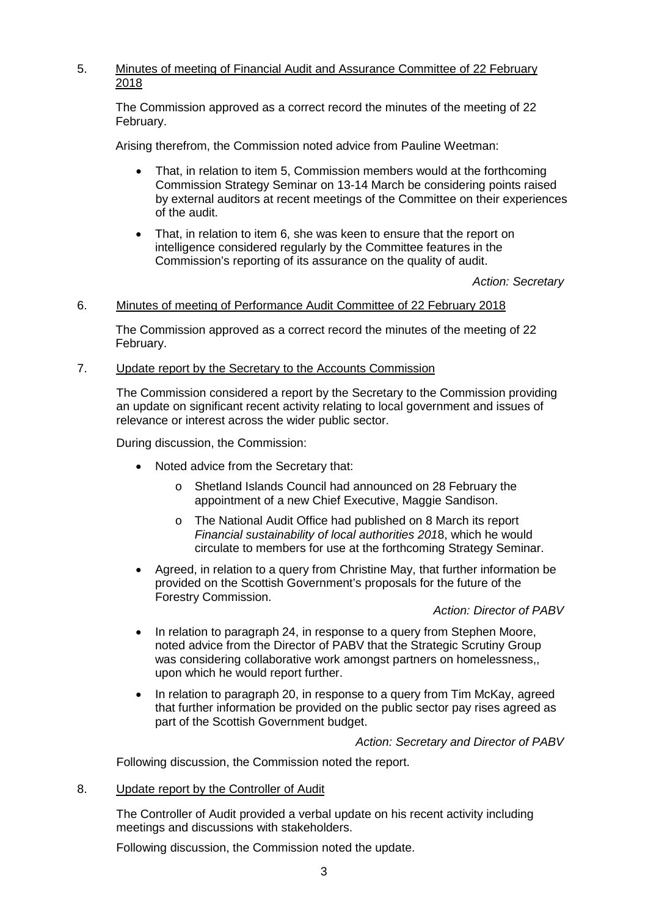# 5. Minutes of meeting of Financial Audit and Assurance Committee of 22 February 2018

The Commission approved as a correct record the minutes of the meeting of 22 February.

Arising therefrom, the Commission noted advice from Pauline Weetman:

- That, in relation to item 5, Commission members would at the forthcoming Commission Strategy Seminar on 13-14 March be considering points raised by external auditors at recent meetings of the Committee on their experiences of the audit.
- That, in relation to item 6, she was keen to ensure that the report on intelligence considered regularly by the Committee features in the Commission's reporting of its assurance on the quality of audit.

*Action: Secretary*

## 6. Minutes of meeting of Performance Audit Committee of 22 February 2018

The Commission approved as a correct record the minutes of the meeting of 22 February.

#### 7. Update report by the Secretary to the Accounts Commission

The Commission considered a report by the Secretary to the Commission providing an update on significant recent activity relating to local government and issues of relevance or interest across the wider public sector.

During discussion, the Commission:

- Noted advice from the Secretary that:
	- o Shetland Islands Council had announced on 28 February the appointment of a new Chief Executive, Maggie Sandison.
	- o The National Audit Office had published on 8 March its report *Financial sustainability of local authorities 201*8, which he would circulate to members for use at the forthcoming Strategy Seminar.
- Agreed, in relation to a query from Christine May, that further information be provided on the Scottish Government's proposals for the future of the Forestry Commission.

#### *Action: Director of PABV*

- In relation to paragraph 24, in response to a query from Stephen Moore, noted advice from the Director of PABV that the Strategic Scrutiny Group was considering collaborative work amongst partners on homelessness,, upon which he would report further.
- In relation to paragraph 20, in response to a query from Tim McKay, agreed that further information be provided on the public sector pay rises agreed as part of the Scottish Government budget.

*Action: Secretary and Director of PABV*

Following discussion, the Commission noted the report.

8. Update report by the Controller of Audit

The Controller of Audit provided a verbal update on his recent activity including meetings and discussions with stakeholders.

Following discussion, the Commission noted the update.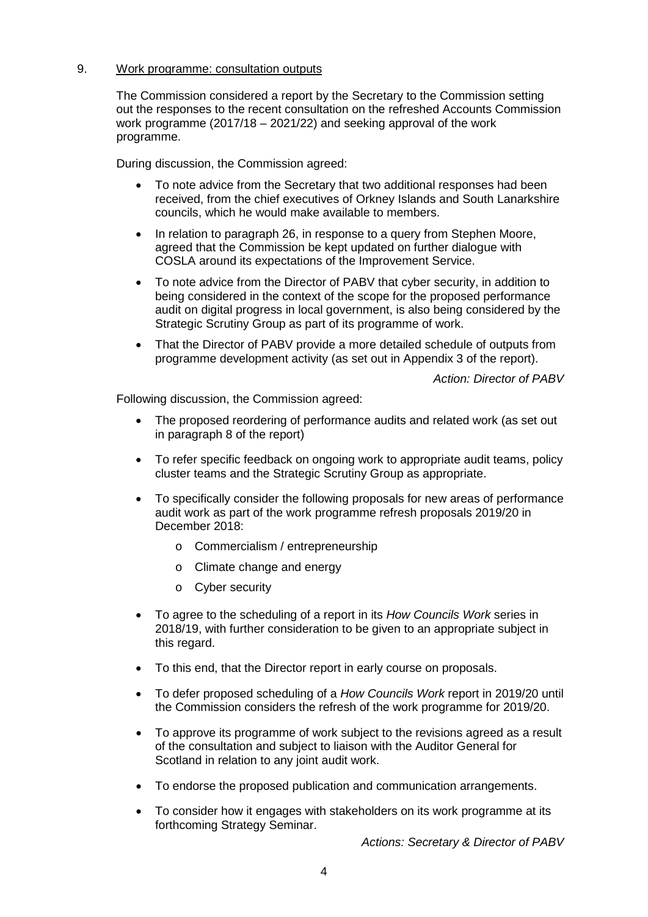## 9. Work programme: consultation outputs

The Commission considered a report by the Secretary to the Commission setting out the responses to the recent consultation on the refreshed Accounts Commission work programme (2017/18 – 2021/22) and seeking approval of the work programme.

During discussion, the Commission agreed:

- To note advice from the Secretary that two additional responses had been received, from the chief executives of Orkney Islands and South Lanarkshire councils, which he would make available to members.
- In relation to paragraph 26, in response to a query from Stephen Moore, agreed that the Commission be kept updated on further dialogue with COSLA around its expectations of the Improvement Service.
- To note advice from the Director of PABV that cyber security, in addition to being considered in the context of the scope for the proposed performance audit on digital progress in local government, is also being considered by the Strategic Scrutiny Group as part of its programme of work.
- That the Director of PABV provide a more detailed schedule of outputs from programme development activity (as set out in Appendix 3 of the report).

*Action: Director of PABV*

Following discussion, the Commission agreed:

- The proposed reordering of performance audits and related work (as set out in paragraph 8 of the report)
- To refer specific feedback on ongoing work to appropriate audit teams, policy cluster teams and the Strategic Scrutiny Group as appropriate.
- To specifically consider the following proposals for new areas of performance audit work as part of the work programme refresh proposals 2019/20 in December 2018:
	- o Commercialism / entrepreneurship
	- o Climate change and energy
	- o Cyber security
- To agree to the scheduling of a report in its *How Councils Work* series in 2018/19, with further consideration to be given to an appropriate subject in this regard.
- To this end, that the Director report in early course on proposals.
- To defer proposed scheduling of a *How Councils Work* report in 2019/20 until the Commission considers the refresh of the work programme for 2019/20.
- To approve its programme of work subject to the revisions agreed as a result of the consultation and subject to liaison with the Auditor General for Scotland in relation to any joint audit work.
- To endorse the proposed publication and communication arrangements.
- To consider how it engages with stakeholders on its work programme at its forthcoming Strategy Seminar.

*Actions: Secretary & Director of PABV*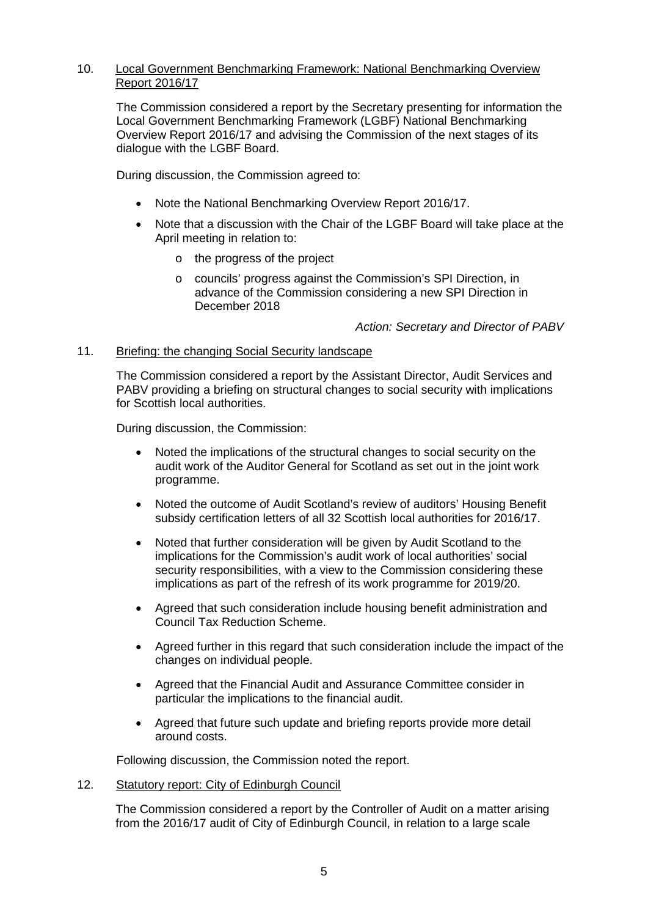# 10. Local Government Benchmarking Framework: National Benchmarking Overview Report 2016/17

The Commission considered a report by the Secretary presenting for information the Local Government Benchmarking Framework (LGBF) National Benchmarking Overview Report 2016/17 and advising the Commission of the next stages of its dialogue with the LGBF Board.

During discussion, the Commission agreed to:

- Note the National Benchmarking Overview Report 2016/17.
- Note that a discussion with the Chair of the LGBF Board will take place at the April meeting in relation to:
	- o the progress of the project
	- o councils' progress against the Commission's SPI Direction, in advance of the Commission considering a new SPI Direction in December 2018

*Action: Secretary and Director of PABV*

## 11. Briefing: the changing Social Security landscape

The Commission considered a report by the Assistant Director, Audit Services and PABV providing a briefing on structural changes to social security with implications for Scottish local authorities.

During discussion, the Commission:

- Noted the implications of the structural changes to social security on the audit work of the Auditor General for Scotland as set out in the joint work programme.
- Noted the outcome of Audit Scotland's review of auditors' Housing Benefit subsidy certification letters of all 32 Scottish local authorities for 2016/17.
- Noted that further consideration will be given by Audit Scotland to the implications for the Commission's audit work of local authorities' social security responsibilities, with a view to the Commission considering these implications as part of the refresh of its work programme for 2019/20.
- Agreed that such consideration include housing benefit administration and Council Tax Reduction Scheme.
- Agreed further in this regard that such consideration include the impact of the changes on individual people.
- Agreed that the Financial Audit and Assurance Committee consider in particular the implications to the financial audit.
- Agreed that future such update and briefing reports provide more detail around costs.

Following discussion, the Commission noted the report.

#### 12. Statutory report: City of Edinburgh Council

The Commission considered a report by the Controller of Audit on a matter arising from the 2016/17 audit of City of Edinburgh Council, in relation to a large scale